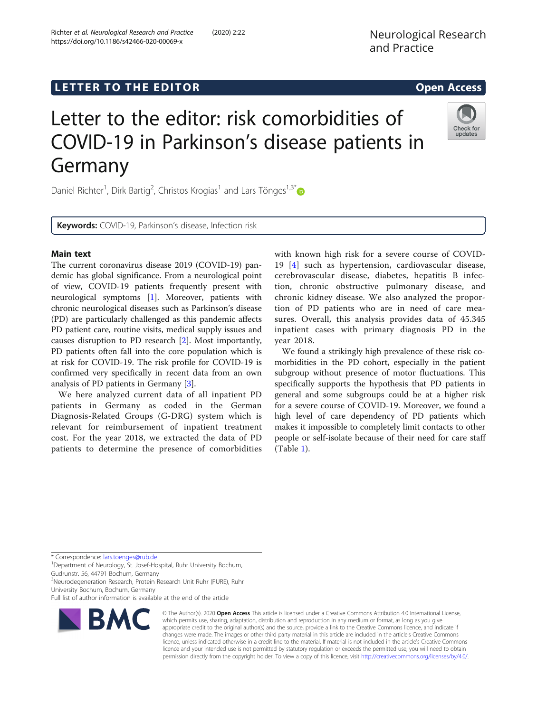# LETTER TO THE EDITOR **CONSIDERING THE EDITOR** CONSIDERING THE STATE AND THE STATE ASSAULT THE STATE AND THE STATE ASSAULT THE STATE AND THE STATE AND THE STATE AND THE STATE AND THE STATE AND THE STATE AND THE STATE AND TH

# Letter to the editor: risk comorbidities of COVID-19 in Parkinson's disease patients in Germany

Daniel Richter<sup>1</sup>, Dirk Bartig<sup>2</sup>, Christos Krogias<sup>1</sup> and Lars Tönges<sup>1,3[\\*](http://orcid.org/0000-0001-6621-144X)</sup>

Keywords: COVID-19, Parkinson's disease, Infection risk

# Main text

The current coronavirus disease 2019 (COVID-19) pandemic has global significance. From a neurological point of view, COVID-19 patients frequently present with neurological symptoms [\[1](#page-2-0)]. Moreover, patients with chronic neurological diseases such as Parkinson's disease (PD) are particularly challenged as this pandemic affects PD patient care, routine visits, medical supply issues and causes disruption to PD research [[2\]](#page-2-0). Most importantly, PD patients often fall into the core population which is at risk for COVID-19. The risk profile for COVID-19 is confirmed very specifically in recent data from an own analysis of PD patients in Germany [\[3](#page-2-0)].

We here analyzed current data of all inpatient PD patients in Germany as coded in the German Diagnosis-Related Groups (G-DRG) system which is relevant for reimbursement of inpatient treatment cost. For the year 2018, we extracted the data of PD patients to determine the presence of comorbidities

with known high risk for a severe course of COVID-19 [[4\]](#page-2-0) such as hypertension, cardiovascular disease, cerebrovascular disease, diabetes, hepatitis B infection, chronic obstructive pulmonary disease, and chronic kidney disease. We also analyzed the proportion of PD patients who are in need of care measures. Overall, this analysis provides data of 45.345 inpatient cases with primary diagnosis PD in the year 2018.

We found a strikingly high prevalence of these risk comorbidities in the PD cohort, especially in the patient subgroup without presence of motor fluctuations. This specifically supports the hypothesis that PD patients in general and some subgroups could be at a higher risk for a severe course of COVID-19. Moreover, we found a high level of care dependency of PD patients which makes it impossible to completely limit contacts to other people or self-isolate because of their need for care staff (Table [1\)](#page-1-0).

\* Correspondence: [lars.toenges@rub.de](mailto:lars.toenges@rub.de) <sup>1</sup>

<sup>1</sup>Department of Neurology, St. Josef-Hospital, Ruhr University Bochum,

Gudrunstr. 56, 44791 Bochum, Germany

<sup>3</sup>Neurodegeneration Research, Protein Research Unit Ruhr (PURE), Ruhr University Bochum, Bochum, Germany

Full list of author information is available at the end of the article

https://doi.org/10.1186/s42466-020-00069-x



© The Author(s). 2020 Open Access This article is licensed under a Creative Commons Attribution 4.0 International License, which permits use, sharing, adaptation, distribution and reproduction in any medium or format, as long as you give appropriate credit to the original author(s) and the source, provide a link to the Creative Commons licence, and indicate if changes were made. The images or other third party material in this article are included in the article's Creative Commons licence, unless indicated otherwise in a credit line to the material. If material is not included in the article's Creative Commons licence and your intended use is not permitted by statutory regulation or exceeds the permitted use, you will need to obtain permission directly from the copyright holder. To view a copy of this licence, visit [http://creativecommons.org/licenses/by/4.0/.](http://creativecommons.org/licenses/by/4.0/)



Neurological Research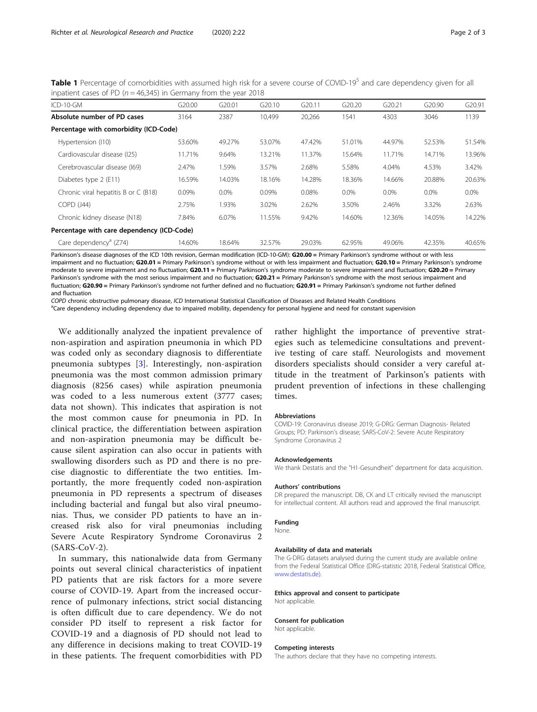<span id="page-1-0"></span>Table 1 Percentage of comorbidities with assumed high risk for a severe course of COVID-19<sup>5</sup> and care dependency given for all inpatient cases of PD ( $n = 46,345$ ) in Germany from the year 2018

| $ICD-10-GM$                                | G20.00 | G <sub>20.01</sub> | G <sub>20.10</sub> | G20.11 | G <sub>20.20</sub> | G20.21  | G20.90  | G20.91  |
|--------------------------------------------|--------|--------------------|--------------------|--------|--------------------|---------|---------|---------|
| Absolute number of PD cases                | 3164   | 2387               | 10,499             | 20,266 | 1541               | 4303    | 3046    | 1139    |
| Percentage with comorbidity (ICD-Code)     |        |                    |                    |        |                    |         |         |         |
| Hypertension (I10)                         | 53.60% | 49.27%             | 53.07%             | 47.42% | 51.01%             | 44.97%  | 52.53%  | 51.54%  |
| Cardiovascular disease (125)               | 11.71% | 9.64%              | 13.21%             | 11.37% | 15.64%             | 11.71%  | 14.71%  | 13.96%  |
| Cerebrovascular disease (169)              | 2.47%  | 1.59%              | 3.57%              | 2.68%  | 5.58%              | 4.04%   | 4.53%   | 3.42%   |
| Diabetes type 2 (E11)                      | 16.59% | 14.03%             | 18.16%             | 14.28% | 18.36%             | 14.66%  | 20.88%  | 20.63%  |
| Chronic viral hepatitis B or C (B18)       | 0.09%  | $0.0\%$            | 0.09%              | 0.08%  | $0.0\%$            | $0.0\%$ | $0.0\%$ | $0.0\%$ |
| COPD (J44)                                 | 2.75%  | 1.93%              | 3.02%              | 2.62%  | 3.50%              | 2.46%   | 3.32%   | 2.63%   |
| Chronic kidney disease (N18)               | 7.84%  | 6.07%              | 11.55%             | 9.42%  | 14.60%             | 12.36%  | 14.05%  | 14.22%  |
| Percentage with care dependency (ICD-Code) |        |                    |                    |        |                    |         |         |         |
| Care dependency <sup>a</sup> (Z74)         | 14.60% | 18.64%             | 32.57%             | 29.03% | 62.95%             | 49.06%  | 42.35%  | 40.65%  |

Parkinson's disease diagnoses of the ICD 10th revision, German modification (ICD-10-GM): G20.00 = Primary Parkinson's syndrome without or with less impairment and no fluctuation; G20.01 = Primary Parkinson's syndrome without or with less impairment and fluctuation; G20.10 = Primary Parkinson's syndrome moderate to severe impairment and no fluctuation; G20.11 = Primary Parkinson's syndrome moderate to severe impairment and fluctuation; G20.20 = Primary Parkinson's syndrome with the most serious impairment and no fluctuation; G20.21 = Primary Parkinson's syndrome with the most serious impairment and fluctuation; G20.90 = Primary Parkinson's syndrome not further defined and no fluctuation; G20.91 = Primary Parkinson's syndrome not further defined and fluctuation

COPD chronic obstructive pulmonary disease, ICD International Statistical Classification of Diseases and Related Health Conditions <sup>a</sup>

<sup>a</sup>Care dependency including dependency due to impaired mobility, dependency for personal hygiene and need for constant supervision

We additionally analyzed the inpatient prevalence of non-aspiration and aspiration pneumonia in which PD was coded only as secondary diagnosis to differentiate pneumonia subtypes [[3\]](#page-2-0). Interestingly, non-aspiration pneumonia was the most common admission primary diagnosis (8256 cases) while aspiration pneumonia was coded to a less numerous extent (3777 cases; data not shown). This indicates that aspiration is not the most common cause for pneumonia in PD. In clinical practice, the differentiation between aspiration and non-aspiration pneumonia may be difficult because silent aspiration can also occur in patients with swallowing disorders such as PD and there is no precise diagnostic to differentiate the two entities. Importantly, the more frequently coded non-aspiration pneumonia in PD represents a spectrum of diseases including bacterial and fungal but also viral pneumonias. Thus, we consider PD patients to have an increased risk also for viral pneumonias including Severe Acute Respiratory Syndrome Coronavirus 2 (SARS-CoV-2).

In summary, this nationalwide data from Germany points out several clinical characteristics of inpatient PD patients that are risk factors for a more severe course of COVID-19. Apart from the increased occurrence of pulmonary infections, strict social distancing is often difficult due to care dependency. We do not consider PD itself to represent a risk factor for COVID-19 and a diagnosis of PD should not lead to any difference in decisions making to treat COVID-19 in these patients. The frequent comorbidities with PD

rather highlight the importance of preventive strategies such as telemedicine consultations and preventive testing of care staff. Neurologists and movement disorders specialists should consider a very careful attitude in the treatment of Parkinson's patients with prudent prevention of infections in these challenging times.

### Abbreviations

COVID-19: Coronavirus disease 2019; G-DRG: German Diagnosis- Related Groups; PD: Parkinson's disease; SARS-CoV-2: Severe Acute Respiratory Syndrome Coronavirus 2

### Acknowledgements

We thank Destatis and the "H1-Gesundheit" department for data acquisition.

### Authors' contributions

DR prepared the manuscript. DB, CK and LT critically revised the manuscript for intellectual content. All authors read and approved the final manuscript.

### Funding

#### None.

# Availability of data and materials

The G-DRG datasets analysed during the current study are available online from the Federal Statistical Office (DRG-statistic 2018, Federal Statistical Office, [www.destatis.de\)](http://www.destatis.de).

# Ethics approval and consent to participate

# Not applicable.

### Consent for publication

Not applicable.

### Competing interests

The authors declare that they have no competing interests.